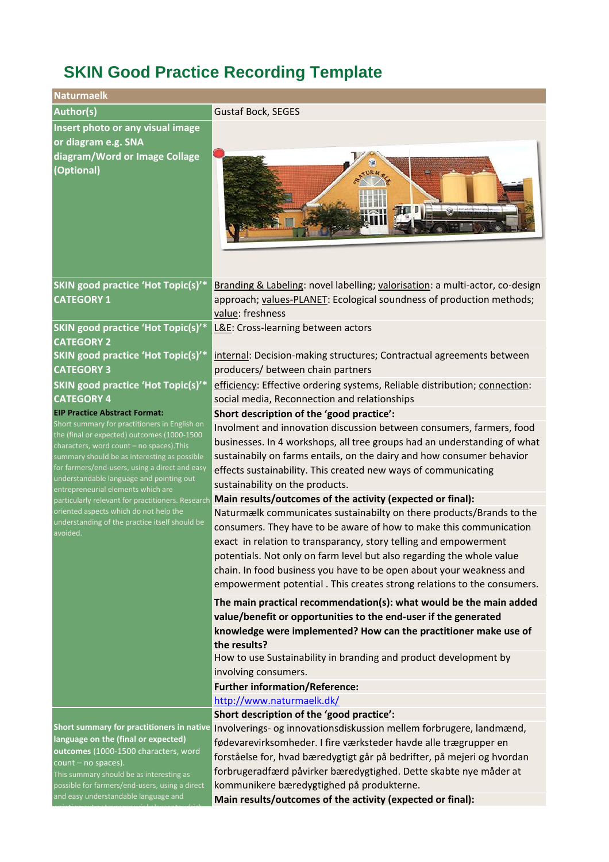## **SKIN Good Practice Recording Template**

| <b>Naturmaelk</b>                                                                                                                                                                                                                                                                                                                                                                                                                                                                          |                                                                                                                                                                                                                                                                                                                                                                                                                                                                                                        |
|--------------------------------------------------------------------------------------------------------------------------------------------------------------------------------------------------------------------------------------------------------------------------------------------------------------------------------------------------------------------------------------------------------------------------------------------------------------------------------------------|--------------------------------------------------------------------------------------------------------------------------------------------------------------------------------------------------------------------------------------------------------------------------------------------------------------------------------------------------------------------------------------------------------------------------------------------------------------------------------------------------------|
| <b>Author(s)</b>                                                                                                                                                                                                                                                                                                                                                                                                                                                                           | <b>Gustaf Bock, SEGES</b>                                                                                                                                                                                                                                                                                                                                                                                                                                                                              |
| Insert photo or any visual image<br>or diagram e.g. SNA                                                                                                                                                                                                                                                                                                                                                                                                                                    |                                                                                                                                                                                                                                                                                                                                                                                                                                                                                                        |
| diagram/Word or Image Collage<br>(Optional)                                                                                                                                                                                                                                                                                                                                                                                                                                                | <b>Salt Hot which</b>                                                                                                                                                                                                                                                                                                                                                                                                                                                                                  |
|                                                                                                                                                                                                                                                                                                                                                                                                                                                                                            |                                                                                                                                                                                                                                                                                                                                                                                                                                                                                                        |
| SKIN good practice 'Hot Topic(s)'*<br><b>CATEGORY 1</b>                                                                                                                                                                                                                                                                                                                                                                                                                                    | Branding & Labeling: novel labelling; valorisation: a multi-actor, co-design<br>approach; values-PLANET: Ecological soundness of production methods;<br>value: freshness                                                                                                                                                                                                                                                                                                                               |
| SKIN good practice 'Hot Topic(s)'*<br><b>CATEGORY 2</b>                                                                                                                                                                                                                                                                                                                                                                                                                                    | L&E: Cross-learning between actors                                                                                                                                                                                                                                                                                                                                                                                                                                                                     |
| <b>SKIN good practice 'Hot Topic(s)'*</b><br><b>CATEGORY 3</b>                                                                                                                                                                                                                                                                                                                                                                                                                             | internal: Decision-making structures; Contractual agreements between<br>producers/ between chain partners                                                                                                                                                                                                                                                                                                                                                                                              |
| <b>SKIN good practice 'Hot Topic(s)'*</b><br><b>CATEGORY 4</b>                                                                                                                                                                                                                                                                                                                                                                                                                             | efficiency: Effective ordering systems, Reliable distribution; connection:<br>social media, Reconnection and relationships                                                                                                                                                                                                                                                                                                                                                                             |
| <b>EIP Practice Abstract Format:</b>                                                                                                                                                                                                                                                                                                                                                                                                                                                       | Short description of the 'good practice':                                                                                                                                                                                                                                                                                                                                                                                                                                                              |
| Short summary for practitioners in English on<br>the (final or expected) outcomes (1000-1500<br>characters, word count - no spaces). This<br>summary should be as interesting as possible<br>for farmers/end-users, using a direct and easy<br>understandable language and pointing out<br>entrepreneurial elements which are<br>particularly relevant for practitioners. Research<br>oriented aspects which do not help the<br>understanding of the practice itself should be<br>avoided. | Involment and innovation discussion between consumers, farmers, food<br>businesses. In 4 workshops, all tree groups had an understanding of what<br>sustainabily on farms entails, on the dairy and how consumer behavior<br>effects sustainability. This created new ways of communicating<br>sustainability on the products.                                                                                                                                                                         |
|                                                                                                                                                                                                                                                                                                                                                                                                                                                                                            | Main results/outcomes of the activity (expected or final):<br>Naturmælk communicates sustainabilty on there products/Brands to the<br>consumers. They have to be aware of how to make this communication<br>exact in relation to transparancy, story telling and empowerment<br>potentials. Not only on farm level but also regarding the whole value<br>chain. In food business you have to be open about your weakness and<br>empowerment potential. This creates strong relations to the consumers. |
|                                                                                                                                                                                                                                                                                                                                                                                                                                                                                            | The main practical recommendation(s): what would be the main added<br>value/benefit or opportunities to the end-user if the generated<br>knowledge were implemented? How can the practitioner make use of<br>the results?                                                                                                                                                                                                                                                                              |
|                                                                                                                                                                                                                                                                                                                                                                                                                                                                                            | How to use Sustainability in branding and product development by<br>involving consumers.                                                                                                                                                                                                                                                                                                                                                                                                               |
|                                                                                                                                                                                                                                                                                                                                                                                                                                                                                            | <b>Further information/Reference:</b>                                                                                                                                                                                                                                                                                                                                                                                                                                                                  |
|                                                                                                                                                                                                                                                                                                                                                                                                                                                                                            | http://www.naturmaelk.dk/                                                                                                                                                                                                                                                                                                                                                                                                                                                                              |
|                                                                                                                                                                                                                                                                                                                                                                                                                                                                                            | Short description of the 'good practice':                                                                                                                                                                                                                                                                                                                                                                                                                                                              |
| Short summary for practitioners in native<br>language on the (final or expected)<br>outcomes (1000-1500 characters, word<br>count - no spaces).<br>This summary should be as interesting as                                                                                                                                                                                                                                                                                                | Involverings- og innovationsdiskussion mellem forbrugere, landmænd,<br>fødevarevirksomheder. I fire værksteder havde alle trægrupper en<br>forståelse for, hvad bæredygtigt går på bedrifter, på mejeri og hvordan<br>forbrugeradfærd påvirker bæredygtighed. Dette skabte nye måder at                                                                                                                                                                                                                |

possible for farmers/end-users, using a direct and easy understandable language and

pointing out entrepreneurial elements which

**Main results/outcomes of the activity (expected or final):**

kommunikere bæredygtighed på produkterne.